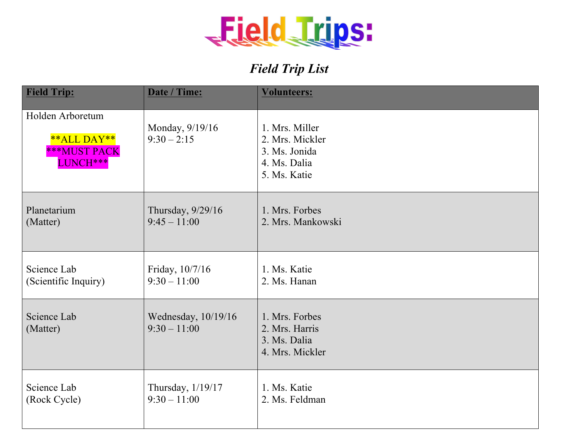

## *Field Trip List*

| <b>Field Trip:</b>                                           | Date / Time:                          | <b>Volunteers:</b>                                                                 |
|--------------------------------------------------------------|---------------------------------------|------------------------------------------------------------------------------------|
| Holden Arboretum<br>**ALL DAY**<br>***MUST PACK<br>LUNCH *** | Monday, 9/19/16<br>$9:30 - 2:15$      | 1. Mrs. Miller<br>2. Mrs. Mickler<br>3. Ms. Jonida<br>4. Ms. Dalia<br>5. Ms. Katie |
| Planetarium                                                  | Thursday, 9/29/16                     | 1. Mrs. Forbes                                                                     |
| (Matter)                                                     | $9:45 - 11:00$                        | 2. Mrs. Mankowski                                                                  |
| Science Lab                                                  | Friday, 10/7/16                       | 1. Ms. Katie                                                                       |
| (Scientific Inquiry)                                         | $9:30 - 11:00$                        | 2. Ms. Hanan                                                                       |
| Science Lab<br>(Matter)                                      | Wednesday, 10/19/16<br>$9:30 - 11:00$ | 1. Mrs. Forbes<br>2. Mrs. Harris<br>3. Ms. Dalia<br>4. Mrs. Mickler                |
| Science Lab                                                  | Thursday, 1/19/17                     | 1. Ms. Katie                                                                       |
| (Rock Cycle)                                                 | $9:30 - 11:00$                        | 2. Ms. Feldman                                                                     |